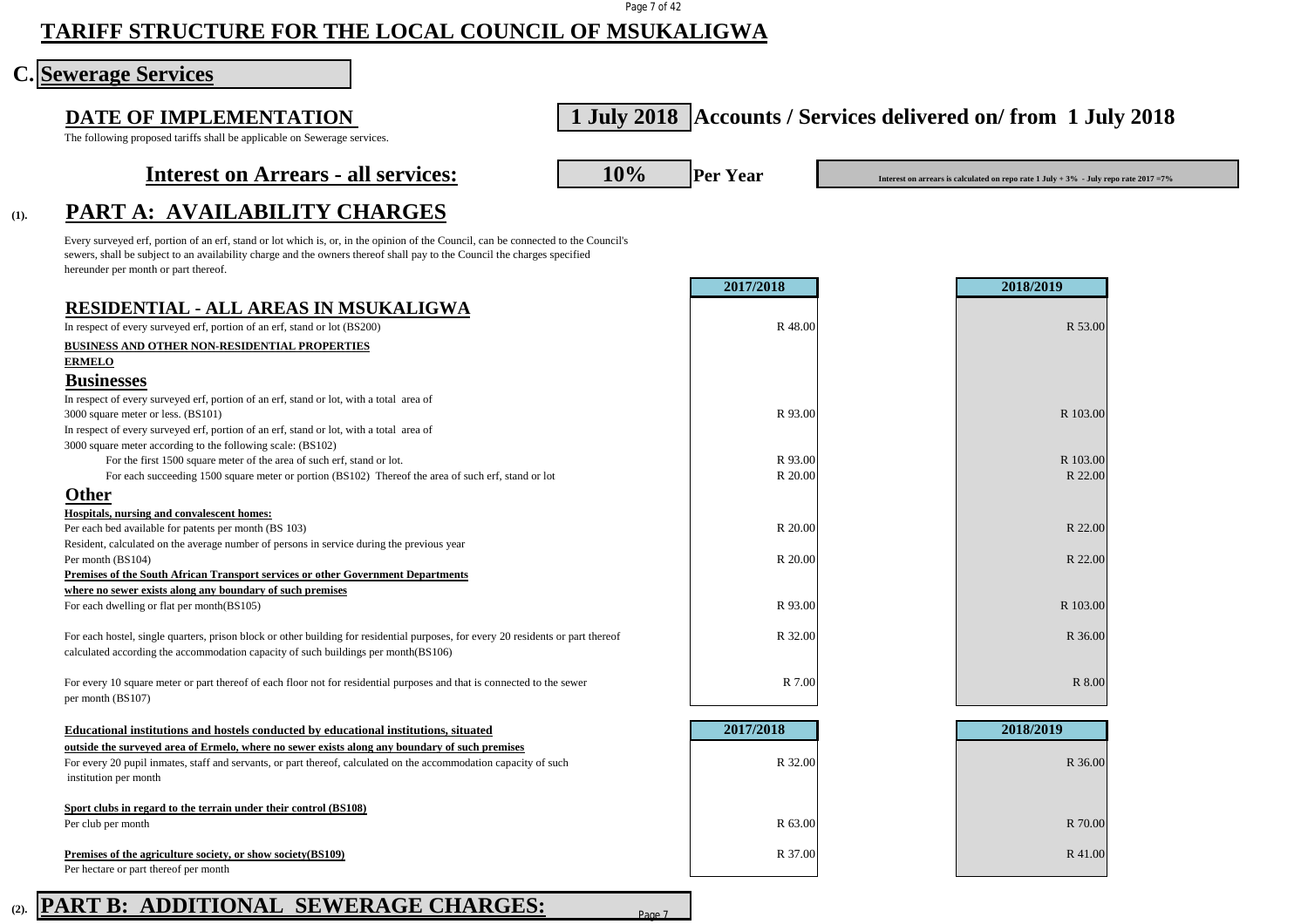#### Page 7 of 42

# **TARIFF STRUCTURE FOR THE LOCAL COUNCIL OF MSUKALIGWA**

### **Sewerage Services**

#### The following proposed tariffs shall be applicable on Sewerage services.

# **DATE OF IMPLEMENTATION 1 July 2018 Accounts / Services delivered on/ from 1 July 2018**

**(1). PART A: AVAILABILITY CHARGES**

## **Interest on Arrears - all services:** 10% Per Year

**Interest on arrears is calculated on repo rate 1 July + 3% - July repo rate 2017 =7%** 

### Every surveyed erf, portion of an erf, stand or lot which is, or, in the opinion of the Council, can be connected to the Council's sewers, shall be subject to an availability charge and the owners thereof shall pay to the Council the charges specified hereunder per month or part thereof.

|                                                                                                                                   | 2017/2018 | 2018/2019 |
|-----------------------------------------------------------------------------------------------------------------------------------|-----------|-----------|
| <b>RESIDENTIAL - ALL AREAS IN MSUKALIGWA</b>                                                                                      |           |           |
| In respect of every surveyed erf, portion of an erf, stand or lot (BS200)                                                         | R 48.00   | R 53.00   |
| BUSINESS AND OTHER NON-RESIDENTIAL PROPERTIES                                                                                     |           |           |
| <b>ERMELO</b>                                                                                                                     |           |           |
| <b>Businesses</b>                                                                                                                 |           |           |
| In respect of every surveyed erf, portion of an erf, stand or lot, with a total area of                                           |           |           |
| 3000 square meter or less. (BS101)                                                                                                | R 93.00   | R 103.00  |
| In respect of every surveyed erf, portion of an erf, stand or lot, with a total area of                                           |           |           |
| 3000 square meter according to the following scale: (BS102)                                                                       |           |           |
| For the first 1500 square meter of the area of such erf, stand or lot.                                                            | R 93.00   | R 103.00  |
| For each succeeding 1500 square meter or portion (BS102) Thereof the area of such erf, stand or lot                               | R 20.00   | R 22.00   |
| Other                                                                                                                             |           |           |
| Hospitals, nursing and convalescent homes:                                                                                        |           |           |
| Per each bed available for patents per month (BS 103)                                                                             | R 20.00   | R 22.00   |
| Resident, calculated on the average number of persons in service during the previous year                                         |           |           |
| Per month (BS104)                                                                                                                 | R 20.00   | R 22.00   |
| Premises of the South African Transport services or other Government Departments                                                  |           |           |
| where no sewer exists along any boundary of such premises                                                                         |           |           |
| For each dwelling or flat per month(BS105)                                                                                        | R 93.00   | R 103.00  |
| For each hostel, single quarters, prison block or other building for residential purposes, for every 20 residents or part thereof | R 32.00   | R 36.00   |
| calculated according the accommodation capacity of such buildings per month(BS106)                                                |           |           |
| For every 10 square meter or part thereof of each floor not for residential purposes and that is connected to the sewer           | R 7.00    | R 8.00    |
| per month (BS107)                                                                                                                 |           |           |
| Educational institutions and hostels conducted by educational institutions, situated                                              | 2017/2018 | 2018/2019 |
| outside the surveyed area of Ermelo, where no sewer exists along any boundary of such premises                                    |           |           |
| For every 20 pupil inmates, staff and servants, or part thereof, calculated on the accommodation capacity of such                 | R 32.00   | R 36.00   |
| institution per month                                                                                                             |           |           |
| Sport clubs in regard to the terrain under their control (BS108)                                                                  |           |           |
| Per club per month                                                                                                                | R 63.00   | R 70.00   |

**Premises of the agriculture society, or show society(BS109)** R 41.00 Per hectare or part thereof per month

### **(2). PART B: ADDITIONAL SEWERAGE CHARGES:**

Page 7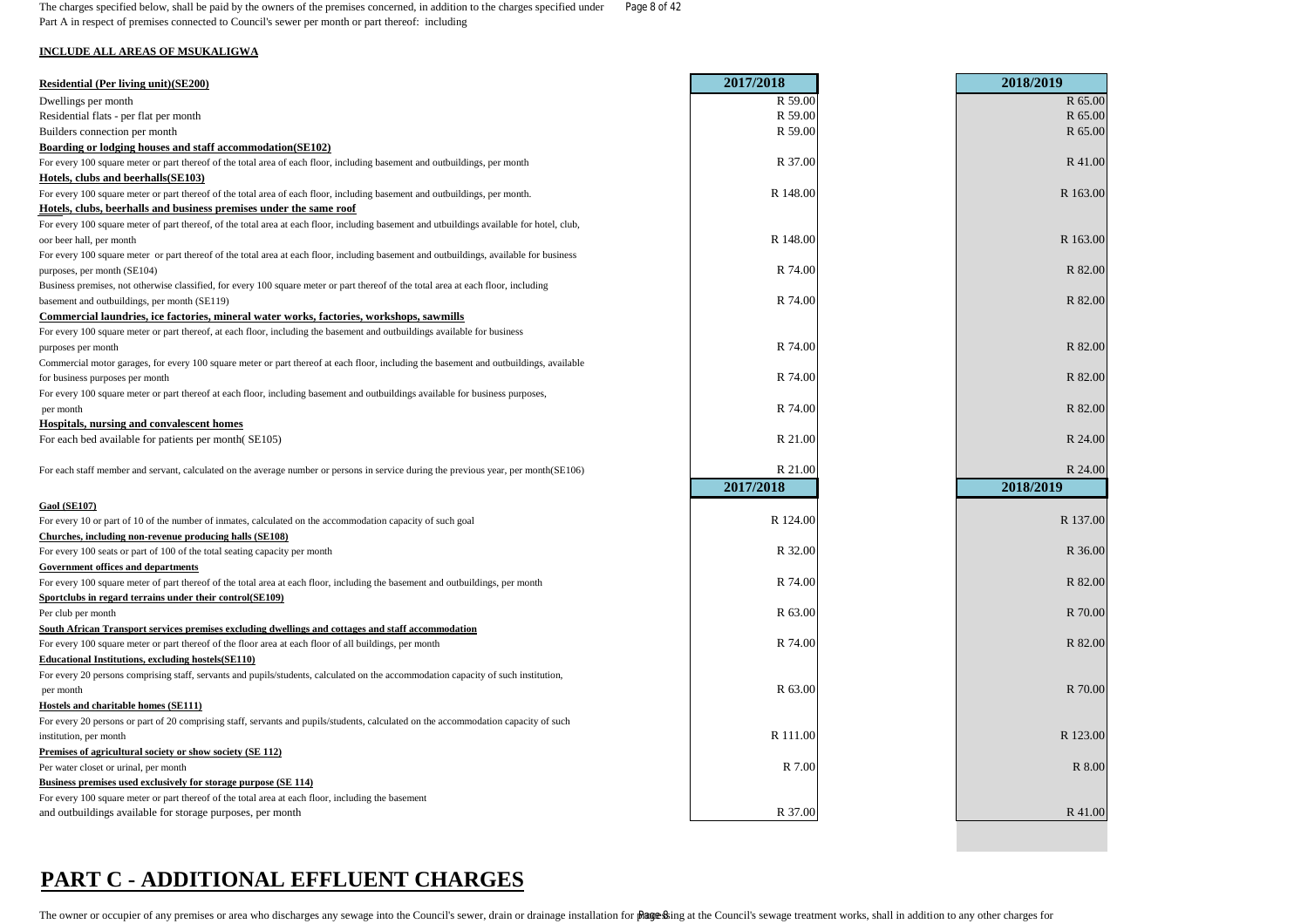The charges specified below, shall be paid by the owners of the premises concerned, in addition to the charges specified under Page 8 of 42 Part A in respect of premises connected to Council's sewer per month or part thereof: including

#### **INCLUDE ALL AREAS OF MSUKALIGWA**

| R 59.00<br>R 65.00<br>Dwellings per month<br>R 59.00<br>R 65.00<br>Residential flats - per flat per month<br>R 59.00<br>R 65.00<br>Builders connection per month<br>Boarding or lodging houses and staff accommodation(SE102)<br>R 37.00<br>R 41.00<br>Hotels, clubs and beerhalls(SE103)<br>R 148.00<br>R 163.00<br>R 148.00<br>R 163.00<br>R 74.00<br>R 82.00<br>purposes, per month (SE104)<br>R 74.00<br>R 82.00<br>basement and outbuildings, per month (SE119)<br>Commercial laundries, ice factories, mineral water works, factories, workshops, sawmills<br>R 74.00<br>R 82.00<br>Commercial motor garages, for every 100 square meter or part thereof at each floor, including the basement and outbuildings, available<br>R 74.00<br>R 82.00<br>R 82.00<br>R 74.00<br>per month<br><b>Hospitals, nursing and convalescent homes</b><br>R 21.00<br>R 24.00<br>R 21.00<br>R 24.00<br>For each staff member and servant, calculated on the average number or persons in service during the previous year, per month(SE106)<br>2017/2018<br>2018/2019<br>R 124.00<br>R 137.00<br>Churches, including non-revenue producing halls (SE108)<br>R 32.00<br>R 36.00<br><b>Government offices and departments</b><br>R 74.00<br>R 82.00<br>R 63.00<br>R 70.00<br>R 74.00<br>R 82.00<br><b>Educational Institutions, excluding hostels (SE110)</b><br>R 63.00<br>R 70.00<br>per month<br>R 111.00<br>R 123.00<br>Premises of agricultural society or show society (SE 112)<br>R 7.00<br>R 8.00<br>Business premises used exclusively for storage purpose (SE 114)<br>R 37.00<br>and outbuildings available for storage purposes, per month<br>R 41.00 | <b>Residential (Per living unit)(SE200)</b>                                                                                                | 2017/2018 | 2018/2019 |
|------------------------------------------------------------------------------------------------------------------------------------------------------------------------------------------------------------------------------------------------------------------------------------------------------------------------------------------------------------------------------------------------------------------------------------------------------------------------------------------------------------------------------------------------------------------------------------------------------------------------------------------------------------------------------------------------------------------------------------------------------------------------------------------------------------------------------------------------------------------------------------------------------------------------------------------------------------------------------------------------------------------------------------------------------------------------------------------------------------------------------------------------------------------------------------------------------------------------------------------------------------------------------------------------------------------------------------------------------------------------------------------------------------------------------------------------------------------------------------------------------------------------------------------------------------------------------------------------------------------------------------------------------|--------------------------------------------------------------------------------------------------------------------------------------------|-----------|-----------|
|                                                                                                                                                                                                                                                                                                                                                                                                                                                                                                                                                                                                                                                                                                                                                                                                                                                                                                                                                                                                                                                                                                                                                                                                                                                                                                                                                                                                                                                                                                                                                                                                                                                      |                                                                                                                                            |           |           |
|                                                                                                                                                                                                                                                                                                                                                                                                                                                                                                                                                                                                                                                                                                                                                                                                                                                                                                                                                                                                                                                                                                                                                                                                                                                                                                                                                                                                                                                                                                                                                                                                                                                      |                                                                                                                                            |           |           |
|                                                                                                                                                                                                                                                                                                                                                                                                                                                                                                                                                                                                                                                                                                                                                                                                                                                                                                                                                                                                                                                                                                                                                                                                                                                                                                                                                                                                                                                                                                                                                                                                                                                      |                                                                                                                                            |           |           |
|                                                                                                                                                                                                                                                                                                                                                                                                                                                                                                                                                                                                                                                                                                                                                                                                                                                                                                                                                                                                                                                                                                                                                                                                                                                                                                                                                                                                                                                                                                                                                                                                                                                      |                                                                                                                                            |           |           |
|                                                                                                                                                                                                                                                                                                                                                                                                                                                                                                                                                                                                                                                                                                                                                                                                                                                                                                                                                                                                                                                                                                                                                                                                                                                                                                                                                                                                                                                                                                                                                                                                                                                      | For every 100 square meter or part thereof of the total area of each floor, including basement and outbuildings, per month                 |           |           |
|                                                                                                                                                                                                                                                                                                                                                                                                                                                                                                                                                                                                                                                                                                                                                                                                                                                                                                                                                                                                                                                                                                                                                                                                                                                                                                                                                                                                                                                                                                                                                                                                                                                      |                                                                                                                                            |           |           |
|                                                                                                                                                                                                                                                                                                                                                                                                                                                                                                                                                                                                                                                                                                                                                                                                                                                                                                                                                                                                                                                                                                                                                                                                                                                                                                                                                                                                                                                                                                                                                                                                                                                      | For every 100 square meter or part thereof of the total area of each floor, including basement and outbuildings, per month.                |           |           |
|                                                                                                                                                                                                                                                                                                                                                                                                                                                                                                                                                                                                                                                                                                                                                                                                                                                                                                                                                                                                                                                                                                                                                                                                                                                                                                                                                                                                                                                                                                                                                                                                                                                      | Hotels, clubs, beerhalls and business premises under the same roof                                                                         |           |           |
|                                                                                                                                                                                                                                                                                                                                                                                                                                                                                                                                                                                                                                                                                                                                                                                                                                                                                                                                                                                                                                                                                                                                                                                                                                                                                                                                                                                                                                                                                                                                                                                                                                                      | For every 100 square meter of part thereof, of the total area at each floor, including basement and utbuildings available for hotel, club, |           |           |
|                                                                                                                                                                                                                                                                                                                                                                                                                                                                                                                                                                                                                                                                                                                                                                                                                                                                                                                                                                                                                                                                                                                                                                                                                                                                                                                                                                                                                                                                                                                                                                                                                                                      | oor beer hall, per month                                                                                                                   |           |           |
|                                                                                                                                                                                                                                                                                                                                                                                                                                                                                                                                                                                                                                                                                                                                                                                                                                                                                                                                                                                                                                                                                                                                                                                                                                                                                                                                                                                                                                                                                                                                                                                                                                                      | For every 100 square meter or part thereof of the total area at each floor, including basement and outbuildings, available for business    |           |           |
|                                                                                                                                                                                                                                                                                                                                                                                                                                                                                                                                                                                                                                                                                                                                                                                                                                                                                                                                                                                                                                                                                                                                                                                                                                                                                                                                                                                                                                                                                                                                                                                                                                                      |                                                                                                                                            |           |           |
|                                                                                                                                                                                                                                                                                                                                                                                                                                                                                                                                                                                                                                                                                                                                                                                                                                                                                                                                                                                                                                                                                                                                                                                                                                                                                                                                                                                                                                                                                                                                                                                                                                                      | Business premises, not otherwise classified, for every 100 square meter or part thereof of the total area at each floor, including         |           |           |
|                                                                                                                                                                                                                                                                                                                                                                                                                                                                                                                                                                                                                                                                                                                                                                                                                                                                                                                                                                                                                                                                                                                                                                                                                                                                                                                                                                                                                                                                                                                                                                                                                                                      |                                                                                                                                            |           |           |
|                                                                                                                                                                                                                                                                                                                                                                                                                                                                                                                                                                                                                                                                                                                                                                                                                                                                                                                                                                                                                                                                                                                                                                                                                                                                                                                                                                                                                                                                                                                                                                                                                                                      |                                                                                                                                            |           |           |
|                                                                                                                                                                                                                                                                                                                                                                                                                                                                                                                                                                                                                                                                                                                                                                                                                                                                                                                                                                                                                                                                                                                                                                                                                                                                                                                                                                                                                                                                                                                                                                                                                                                      | For every 100 square meter or part thereof, at each floor, including the basement and outbuildings available for business                  |           |           |
|                                                                                                                                                                                                                                                                                                                                                                                                                                                                                                                                                                                                                                                                                                                                                                                                                                                                                                                                                                                                                                                                                                                                                                                                                                                                                                                                                                                                                                                                                                                                                                                                                                                      | purposes per month                                                                                                                         |           |           |
|                                                                                                                                                                                                                                                                                                                                                                                                                                                                                                                                                                                                                                                                                                                                                                                                                                                                                                                                                                                                                                                                                                                                                                                                                                                                                                                                                                                                                                                                                                                                                                                                                                                      |                                                                                                                                            |           |           |
|                                                                                                                                                                                                                                                                                                                                                                                                                                                                                                                                                                                                                                                                                                                                                                                                                                                                                                                                                                                                                                                                                                                                                                                                                                                                                                                                                                                                                                                                                                                                                                                                                                                      | for business purposes per month                                                                                                            |           |           |
|                                                                                                                                                                                                                                                                                                                                                                                                                                                                                                                                                                                                                                                                                                                                                                                                                                                                                                                                                                                                                                                                                                                                                                                                                                                                                                                                                                                                                                                                                                                                                                                                                                                      | For every 100 square meter or part thereof at each floor, including basement and outbuildings available for business purposes,             |           |           |
|                                                                                                                                                                                                                                                                                                                                                                                                                                                                                                                                                                                                                                                                                                                                                                                                                                                                                                                                                                                                                                                                                                                                                                                                                                                                                                                                                                                                                                                                                                                                                                                                                                                      |                                                                                                                                            |           |           |
|                                                                                                                                                                                                                                                                                                                                                                                                                                                                                                                                                                                                                                                                                                                                                                                                                                                                                                                                                                                                                                                                                                                                                                                                                                                                                                                                                                                                                                                                                                                                                                                                                                                      |                                                                                                                                            |           |           |
|                                                                                                                                                                                                                                                                                                                                                                                                                                                                                                                                                                                                                                                                                                                                                                                                                                                                                                                                                                                                                                                                                                                                                                                                                                                                                                                                                                                                                                                                                                                                                                                                                                                      | For each bed available for patients per month(SE105)                                                                                       |           |           |
|                                                                                                                                                                                                                                                                                                                                                                                                                                                                                                                                                                                                                                                                                                                                                                                                                                                                                                                                                                                                                                                                                                                                                                                                                                                                                                                                                                                                                                                                                                                                                                                                                                                      |                                                                                                                                            |           |           |
|                                                                                                                                                                                                                                                                                                                                                                                                                                                                                                                                                                                                                                                                                                                                                                                                                                                                                                                                                                                                                                                                                                                                                                                                                                                                                                                                                                                                                                                                                                                                                                                                                                                      |                                                                                                                                            |           |           |
|                                                                                                                                                                                                                                                                                                                                                                                                                                                                                                                                                                                                                                                                                                                                                                                                                                                                                                                                                                                                                                                                                                                                                                                                                                                                                                                                                                                                                                                                                                                                                                                                                                                      |                                                                                                                                            |           |           |
|                                                                                                                                                                                                                                                                                                                                                                                                                                                                                                                                                                                                                                                                                                                                                                                                                                                                                                                                                                                                                                                                                                                                                                                                                                                                                                                                                                                                                                                                                                                                                                                                                                                      | <b>Gaol (SE107)</b>                                                                                                                        |           |           |
|                                                                                                                                                                                                                                                                                                                                                                                                                                                                                                                                                                                                                                                                                                                                                                                                                                                                                                                                                                                                                                                                                                                                                                                                                                                                                                                                                                                                                                                                                                                                                                                                                                                      | For every 10 or part of 10 of the number of inmates, calculated on the accommodation capacity of such goal                                 |           |           |
|                                                                                                                                                                                                                                                                                                                                                                                                                                                                                                                                                                                                                                                                                                                                                                                                                                                                                                                                                                                                                                                                                                                                                                                                                                                                                                                                                                                                                                                                                                                                                                                                                                                      |                                                                                                                                            |           |           |
|                                                                                                                                                                                                                                                                                                                                                                                                                                                                                                                                                                                                                                                                                                                                                                                                                                                                                                                                                                                                                                                                                                                                                                                                                                                                                                                                                                                                                                                                                                                                                                                                                                                      | For every 100 seats or part of 100 of the total seating capacity per month                                                                 |           |           |
|                                                                                                                                                                                                                                                                                                                                                                                                                                                                                                                                                                                                                                                                                                                                                                                                                                                                                                                                                                                                                                                                                                                                                                                                                                                                                                                                                                                                                                                                                                                                                                                                                                                      |                                                                                                                                            |           |           |
|                                                                                                                                                                                                                                                                                                                                                                                                                                                                                                                                                                                                                                                                                                                                                                                                                                                                                                                                                                                                                                                                                                                                                                                                                                                                                                                                                                                                                                                                                                                                                                                                                                                      | For every 100 square meter of part thereof of the total area at each floor, including the basement and outbuildings, per month             |           |           |
|                                                                                                                                                                                                                                                                                                                                                                                                                                                                                                                                                                                                                                                                                                                                                                                                                                                                                                                                                                                                                                                                                                                                                                                                                                                                                                                                                                                                                                                                                                                                                                                                                                                      | Sportclubs in regard terrains under their control(SE109)                                                                                   |           |           |
|                                                                                                                                                                                                                                                                                                                                                                                                                                                                                                                                                                                                                                                                                                                                                                                                                                                                                                                                                                                                                                                                                                                                                                                                                                                                                                                                                                                                                                                                                                                                                                                                                                                      | Per club per month                                                                                                                         |           |           |
|                                                                                                                                                                                                                                                                                                                                                                                                                                                                                                                                                                                                                                                                                                                                                                                                                                                                                                                                                                                                                                                                                                                                                                                                                                                                                                                                                                                                                                                                                                                                                                                                                                                      | <u>South African Transport services premises excluding dwellings and cottages and staff accommodation</u>                                  |           |           |
|                                                                                                                                                                                                                                                                                                                                                                                                                                                                                                                                                                                                                                                                                                                                                                                                                                                                                                                                                                                                                                                                                                                                                                                                                                                                                                                                                                                                                                                                                                                                                                                                                                                      | For every 100 square meter or part thereof of the floor area at each floor of all buildings, per month                                     |           |           |
|                                                                                                                                                                                                                                                                                                                                                                                                                                                                                                                                                                                                                                                                                                                                                                                                                                                                                                                                                                                                                                                                                                                                                                                                                                                                                                                                                                                                                                                                                                                                                                                                                                                      |                                                                                                                                            |           |           |
|                                                                                                                                                                                                                                                                                                                                                                                                                                                                                                                                                                                                                                                                                                                                                                                                                                                                                                                                                                                                                                                                                                                                                                                                                                                                                                                                                                                                                                                                                                                                                                                                                                                      | For every 20 persons comprising staff, servants and pupils/students, calculated on the accommodation capacity of such institution,         |           |           |
|                                                                                                                                                                                                                                                                                                                                                                                                                                                                                                                                                                                                                                                                                                                                                                                                                                                                                                                                                                                                                                                                                                                                                                                                                                                                                                                                                                                                                                                                                                                                                                                                                                                      |                                                                                                                                            |           |           |
|                                                                                                                                                                                                                                                                                                                                                                                                                                                                                                                                                                                                                                                                                                                                                                                                                                                                                                                                                                                                                                                                                                                                                                                                                                                                                                                                                                                                                                                                                                                                                                                                                                                      | Hostels and charitable homes (SE111)                                                                                                       |           |           |
|                                                                                                                                                                                                                                                                                                                                                                                                                                                                                                                                                                                                                                                                                                                                                                                                                                                                                                                                                                                                                                                                                                                                                                                                                                                                                                                                                                                                                                                                                                                                                                                                                                                      | For every 20 persons or part of 20 comprising staff, servants and pupils/students, calculated on the accommodation capacity of such        |           |           |
|                                                                                                                                                                                                                                                                                                                                                                                                                                                                                                                                                                                                                                                                                                                                                                                                                                                                                                                                                                                                                                                                                                                                                                                                                                                                                                                                                                                                                                                                                                                                                                                                                                                      | institution, per month                                                                                                                     |           |           |
|                                                                                                                                                                                                                                                                                                                                                                                                                                                                                                                                                                                                                                                                                                                                                                                                                                                                                                                                                                                                                                                                                                                                                                                                                                                                                                                                                                                                                                                                                                                                                                                                                                                      |                                                                                                                                            |           |           |
|                                                                                                                                                                                                                                                                                                                                                                                                                                                                                                                                                                                                                                                                                                                                                                                                                                                                                                                                                                                                                                                                                                                                                                                                                                                                                                                                                                                                                                                                                                                                                                                                                                                      | Per water closet or urinal, per month                                                                                                      |           |           |
|                                                                                                                                                                                                                                                                                                                                                                                                                                                                                                                                                                                                                                                                                                                                                                                                                                                                                                                                                                                                                                                                                                                                                                                                                                                                                                                                                                                                                                                                                                                                                                                                                                                      |                                                                                                                                            |           |           |
|                                                                                                                                                                                                                                                                                                                                                                                                                                                                                                                                                                                                                                                                                                                                                                                                                                                                                                                                                                                                                                                                                                                                                                                                                                                                                                                                                                                                                                                                                                                                                                                                                                                      | For every 100 square meter or part thereof of the total area at each floor, including the basement                                         |           |           |
|                                                                                                                                                                                                                                                                                                                                                                                                                                                                                                                                                                                                                                                                                                                                                                                                                                                                                                                                                                                                                                                                                                                                                                                                                                                                                                                                                                                                                                                                                                                                                                                                                                                      |                                                                                                                                            |           |           |

## **PART C - ADDITIONAL EFFLUENT CHARGES**

The owner or occupier of any premises or area who discharges any sewage into the Council's sewer, drain or drainage installation for page Sing at the Council's sewage treatment works, shall in addition to any other charges